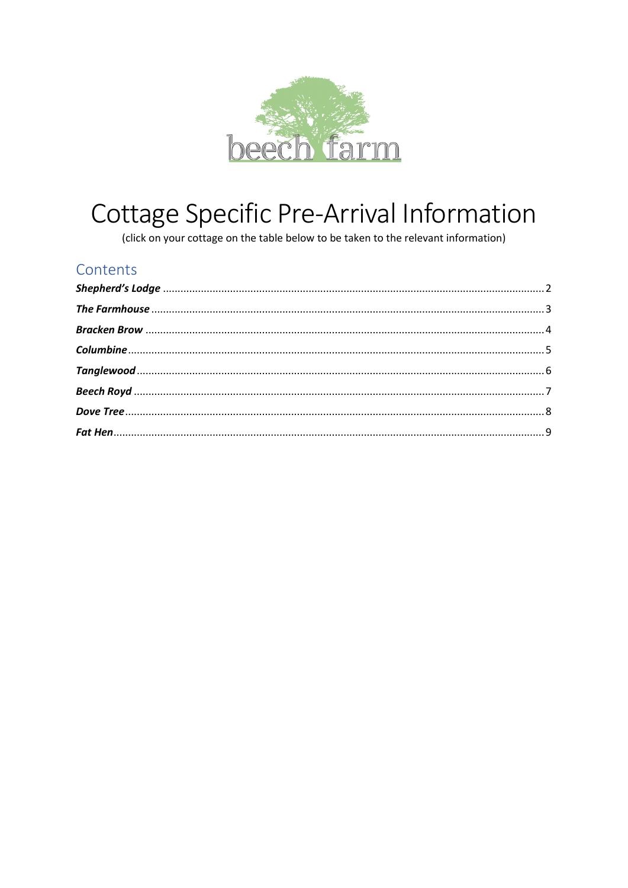

# Cottage Specific Pre-Arrival Information

(click on your cottage on the table below to be taken to the relevant information)

#### Contents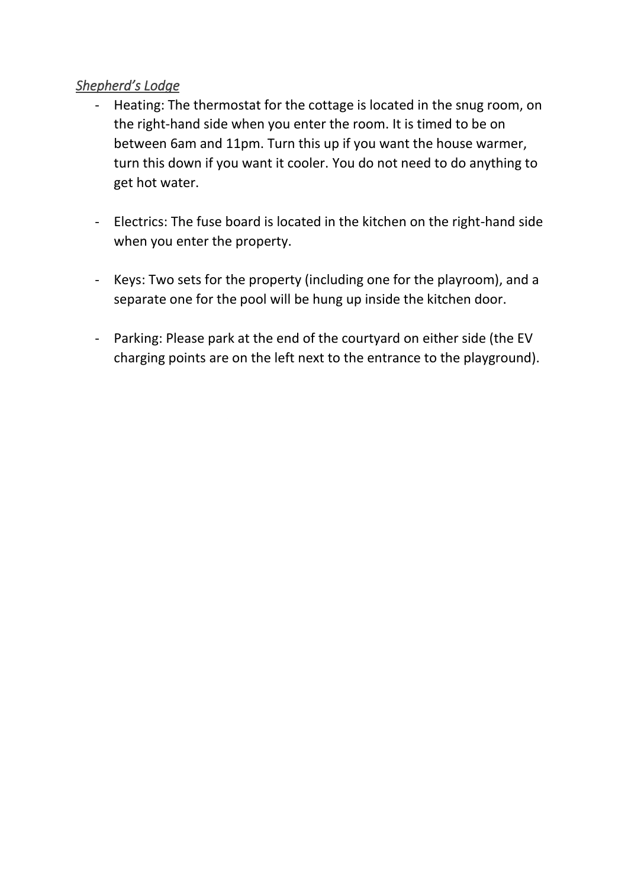# <span id="page-1-0"></span>*Shepherd's Lodge*

- Heating: The thermostat for the cottage is located in the snug room, on the right-hand side when you enter the room. It is timed to be on between 6am and 11pm. Turn this up if you want the house warmer, turn this down if you want it cooler. You do not need to do anything to get hot water.
- Electrics: The fuse board is located in the kitchen on the right-hand side when you enter the property.
- Keys: Two sets for the property (including one for the playroom), and a separate one for the pool will be hung up inside the kitchen door.
- Parking: Please park at the end of the courtyard on either side (the EV charging points are on the left next to the entrance to the playground).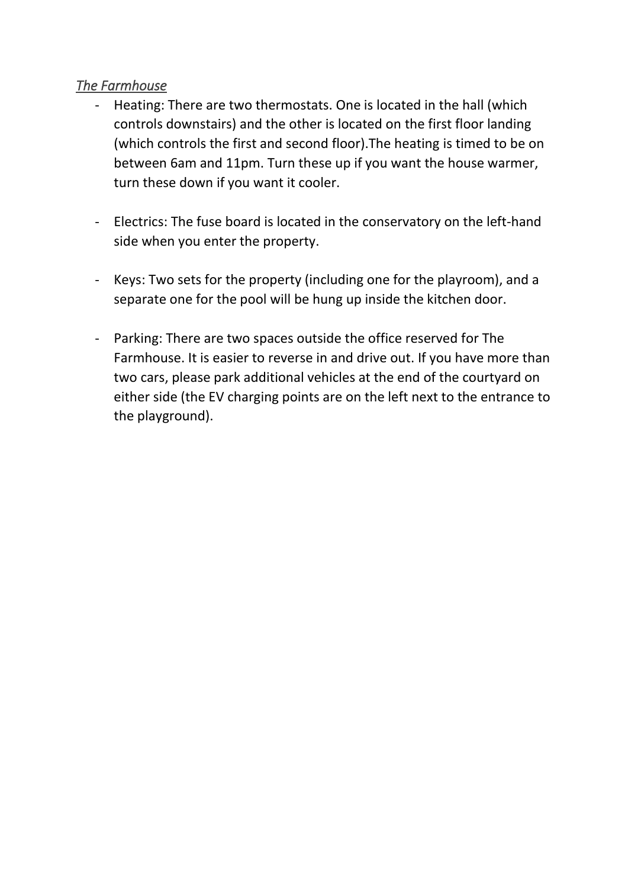# <span id="page-2-0"></span>*The Farmhouse*

- Heating: There are two thermostats. One is located in the hall (which controls downstairs) and the other is located on the first floor landing (which controls the first and second floor).The heating is timed to be on between 6am and 11pm. Turn these up if you want the house warmer, turn these down if you want it cooler.
- Electrics: The fuse board is located in the conservatory on the left-hand side when you enter the property.
- Keys: Two sets for the property (including one for the playroom), and a separate one for the pool will be hung up inside the kitchen door.
- Parking: There are two spaces outside the office reserved for The Farmhouse. It is easier to reverse in and drive out. If you have more than two cars, please park additional vehicles at the end of the courtyard on either side (the EV charging points are on the left next to the entrance to the playground).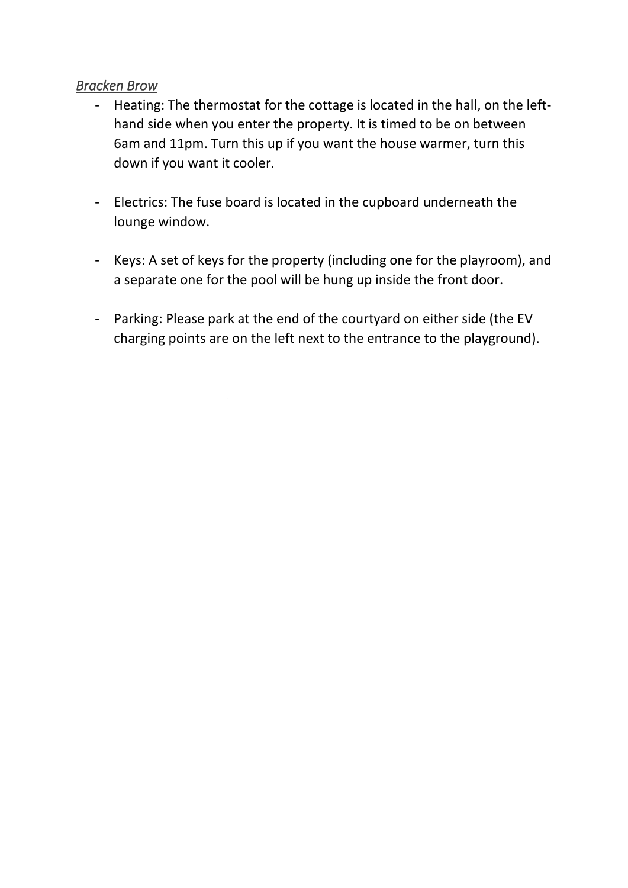#### <span id="page-3-0"></span>*Bracken Brow*

- Heating: The thermostat for the cottage is located in the hall, on the lefthand side when you enter the property. It is timed to be on between 6am and 11pm. Turn this up if you want the house warmer, turn this down if you want it cooler.
- Electrics: The fuse board is located in the cupboard underneath the lounge window.
- Keys: A set of keys for the property (including one for the playroom), and a separate one for the pool will be hung up inside the front door.
- Parking: Please park at the end of the courtyard on either side (the EV charging points are on the left next to the entrance to the playground).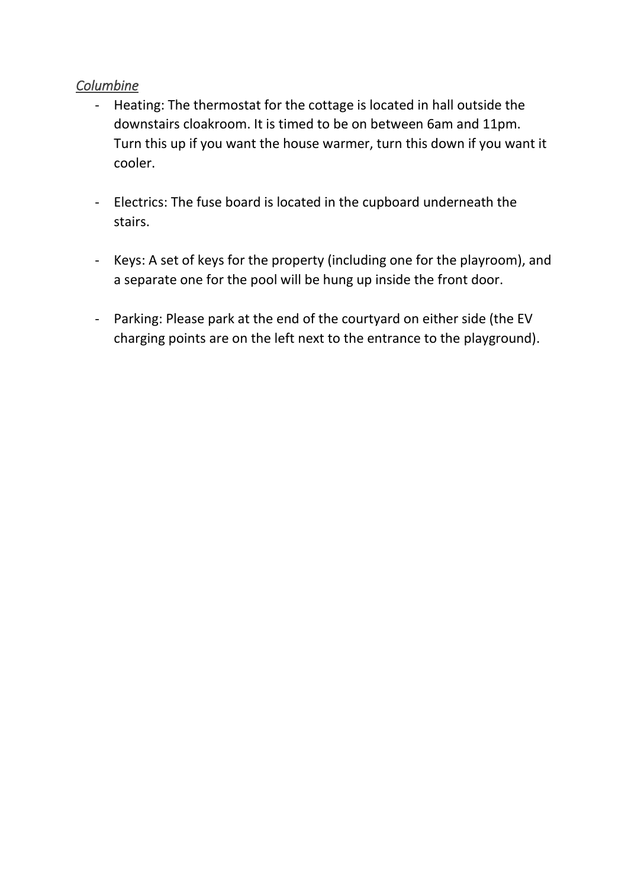## <span id="page-4-0"></span>*Columbine*

- Heating: The thermostat for the cottage is located in hall outside the downstairs cloakroom. It is timed to be on between 6am and 11pm. Turn this up if you want the house warmer, turn this down if you want it cooler.
- Electrics: The fuse board is located in the cupboard underneath the stairs.
- Keys: A set of keys for the property (including one for the playroom), and a separate one for the pool will be hung up inside the front door.
- Parking: Please park at the end of the courtyard on either side (the EV charging points are on the left next to the entrance to the playground).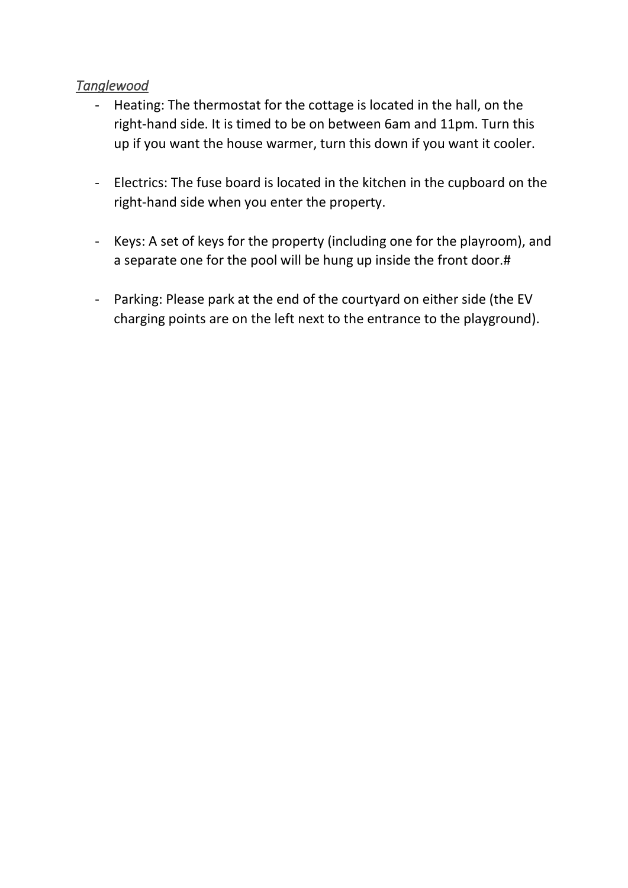# <span id="page-5-0"></span>*Tanglewood*

- Heating: The thermostat for the cottage is located in the hall, on the right-hand side. It is timed to be on between 6am and 11pm. Turn this up if you want the house warmer, turn this down if you want it cooler.
- Electrics: The fuse board is located in the kitchen in the cupboard on the right-hand side when you enter the property.
- Keys: A set of keys for the property (including one for the playroom), and a separate one for the pool will be hung up inside the front door.#
- Parking: Please park at the end of the courtyard on either side (the EV charging points are on the left next to the entrance to the playground).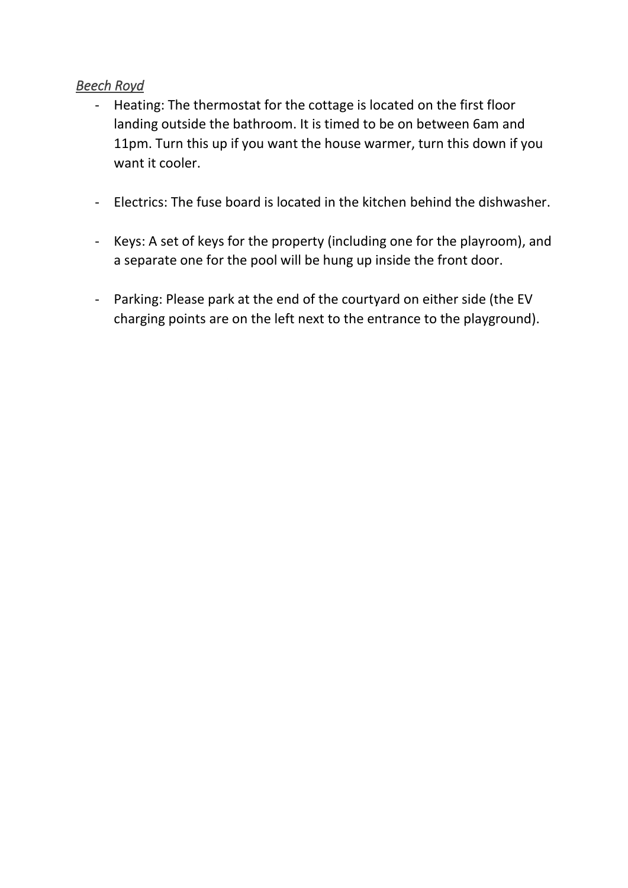# <span id="page-6-0"></span>*Beech Royd*

- Heating: The thermostat for the cottage is located on the first floor landing outside the bathroom. It is timed to be on between 6am and 11pm. Turn this up if you want the house warmer, turn this down if you want it cooler.
- Electrics: The fuse board is located in the kitchen behind the dishwasher.
- Keys: A set of keys for the property (including one for the playroom), and a separate one for the pool will be hung up inside the front door.
- Parking: Please park at the end of the courtyard on either side (the EV charging points are on the left next to the entrance to the playground).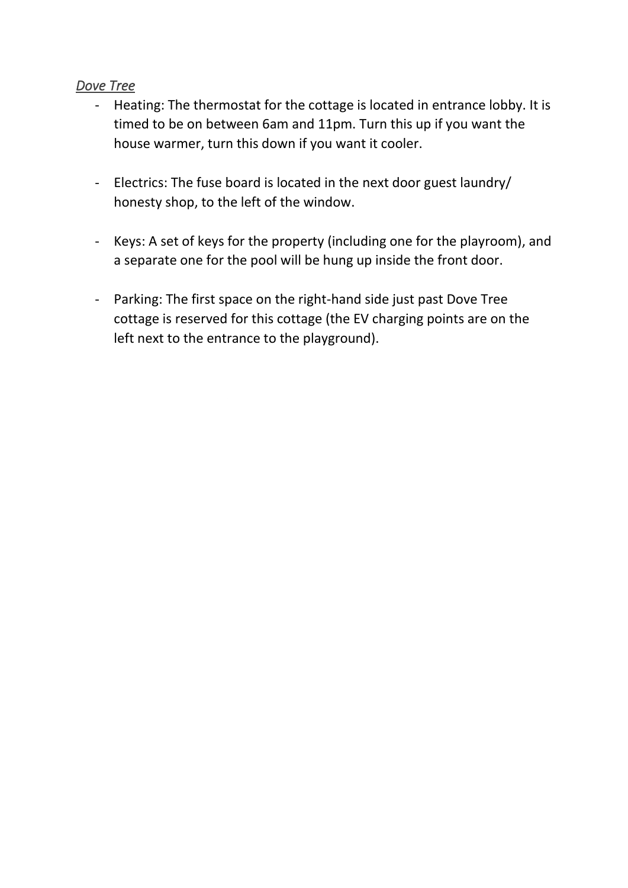#### <span id="page-7-0"></span>*Dove Tree*

- Heating: The thermostat for the cottage is located in entrance lobby. It is timed to be on between 6am and 11pm. Turn this up if you want the house warmer, turn this down if you want it cooler.
- Electrics: The fuse board is located in the next door guest laundry/ honesty shop, to the left of the window.
- Keys: A set of keys for the property (including one for the playroom), and a separate one for the pool will be hung up inside the front door.
- Parking: The first space on the right-hand side just past Dove Tree cottage is reserved for this cottage (the EV charging points are on the left next to the entrance to the playground).